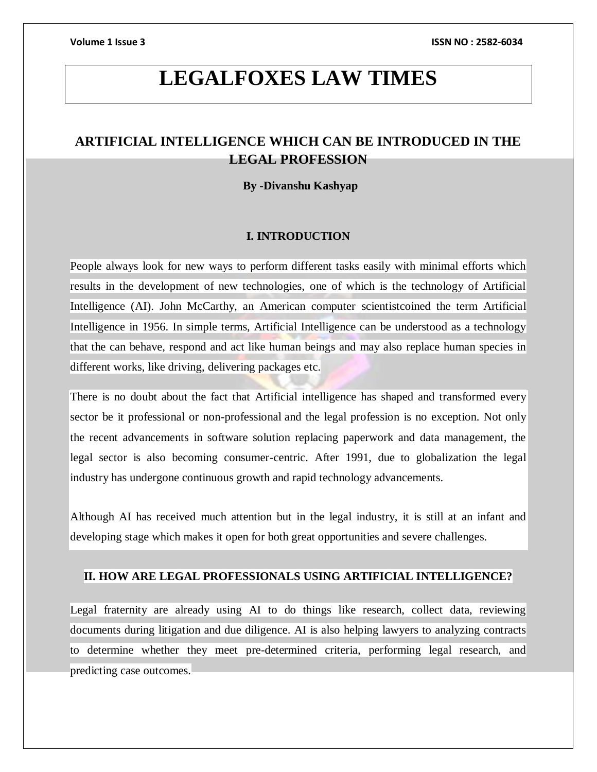# **LEGALFOXES LAW TIMES**

## **ARTIFICIAL INTELLIGENCE WHICH CAN BE INTRODUCED IN THE LEGAL PROFESSION**

### **By -Divanshu Kashyap**

### **I. INTRODUCTION**

People always look for new ways to perform different tasks easily with minimal efforts which results in the development of new technologies, one of which is the technology of Artificial Intelligence (AI). John McCarthy, an American computer scientistcoined the term Artificial Intelligence in 1956. In simple terms, Artificial Intelligence can be understood as a technology that the can behave, respond and act like human beings and may also replace human species in different works, like driving, delivering packages etc.

There is no doubt about the fact that [Artificial intelligence has shaped and transformed every](https://blog.ipleaders.in/need-laws-artificial-intelligence-india/)  [sector be it professional or non-professional](https://blog.ipleaders.in/need-laws-artificial-intelligence-india/) and the legal profession is no exception. Not only the recent advancements in software solution replacing paperwork and data management, the legal sector is also becoming consumer-centric. After 1991, due to globalization the legal industry has undergone continuous growth and rapid technology advancements.

Although AI has received much attention but in the legal industry, it is still at an infant and developing stage which makes it open for both great opportunities and severe challenges.

### **II. HOW ARE LEGAL PROFESSIONALS USING ARTIFICIAL INTELLIGENCE?**

Legal fraternity are already using AI to do things like research, collect data, reviewing documents during litigation and due diligence. AI is also helping lawyers to analyzing contracts to determine whether they meet pre-determined criteria, performing legal research, and predicting case outcomes.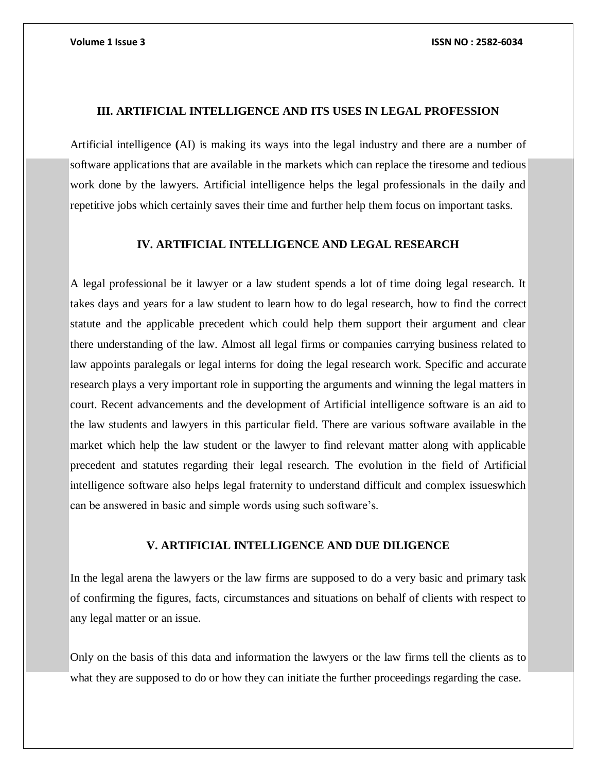### **III. ARTIFICIAL INTELLIGENCE AND ITS USES IN LEGAL PROFESSION**

Artificial intelligence **(**AI) is making its ways into the legal industry and there are a number of software applications that are available in the markets which can replace the tiresome and tedious work done by the lawyers. Artificial intelligence helps the legal professionals in the daily and repetitive jobs which certainly saves their time and further help them focus on important tasks.

### **IV. ARTIFICIAL INTELLIGENCE AND LEGAL RESEARCH**

A legal professional be it lawyer or a law student spends a lot of time doing legal research. It takes days and years for a law student to learn how to do legal research, how to find the correct statute and the applicable precedent which could help them support their argument and clear there understanding of the law. Almost all legal firms or companies carrying business related to law appoints paralegals or legal interns for doing the legal research work. Specific and accurate research plays a very important role in supporting the arguments and winning the legal matters in court. Recent advancements and the development of Artificial intelligence software is an aid to the law students and lawyers in this particular field. There are various software available in the market which help the law student or the lawyer to find relevant matter along with applicable precedent and statutes regarding their legal research. The evolution in the field of Artificial intelligence software also helps legal fraternity to understand difficult and complex issueswhich can be answered in basic and simple words using such software's.

### **V. ARTIFICIAL INTELLIGENCE AND DUE DILIGENCE**

In the legal arena the lawyers or the law firms are supposed to do a very basic and primary task of confirming the figures, facts, circumstances and situations on behalf of clients with respect to any legal matter or an issue.

Only on the basis of this data and information the lawyers or the law firms tell the clients as to what they are supposed to do or how they can initiate the further proceedings regarding the case.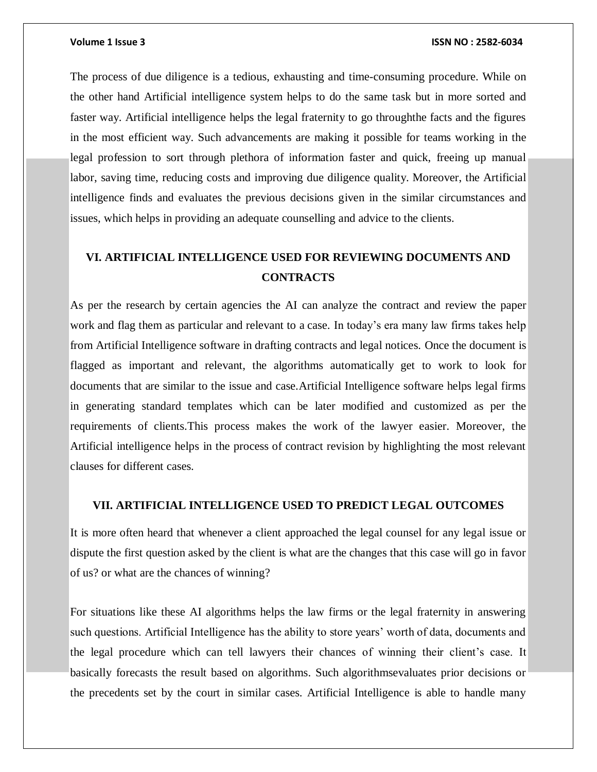### **Volume 1 Issue 3 ISSN NO : 2582-6034**

The process of due diligence is a tedious, exhausting and time-consuming procedure. While on the other hand Artificial intelligence system helps to do the same task but in more sorted and faster way. Artificial intelligence helps the legal fraternity to go throughthe facts and the figures in the most efficient way. Such advancements are making it possible for teams working in the legal profession to sort through plethora of information faster and quick, freeing up manual labor, saving time, reducing costs and improving due diligence quality. Moreover, the Artificial intelligence finds and evaluates the previous decisions given in the similar circumstances and issues, which helps in providing an adequate counselling and advice to the clients.

# **VI. ARTIFICIAL INTELLIGENCE USED FOR REVIEWING DOCUMENTS AND CONTRACTS**

As per the research by certain agencies the AI can analyze the contract and review the paper work and flag them as particular and relevant to a case. In today's era many law firms takes help from Artificial Intelligence software in drafting contracts and legal notices. Once the document is flagged as important and relevant, the algorithms automatically get to work to look for documents that are similar to the issue and case.Artificial Intelligence software helps legal firms in generating standard templates which can be later modified and customized as per the requirements of clients.This process makes the work of the lawyer easier. Moreover, the Artificial intelligence helps in the process of contract revision by highlighting the most relevant clauses for different cases.

### **VII. ARTIFICIAL INTELLIGENCE USED TO PREDICT LEGAL OUTCOMES**

It is more often heard that whenever a client approached the legal counsel for any legal issue or dispute the first question asked by the client is what are the changes that this case will go in favor of us? or what are the chances of winning?

For situations like these AI algorithms helps the law firms or the legal fraternity in answering such questions. Artificial Intelligence has the ability to store years' worth of data, documents and the legal procedure which can tell lawyers their chances of winning their client's case. It basically forecasts the result based on algorithms. Such algorithmsevaluates prior decisions or the precedents set by the court in similar cases. Artificial Intelligence is able to handle many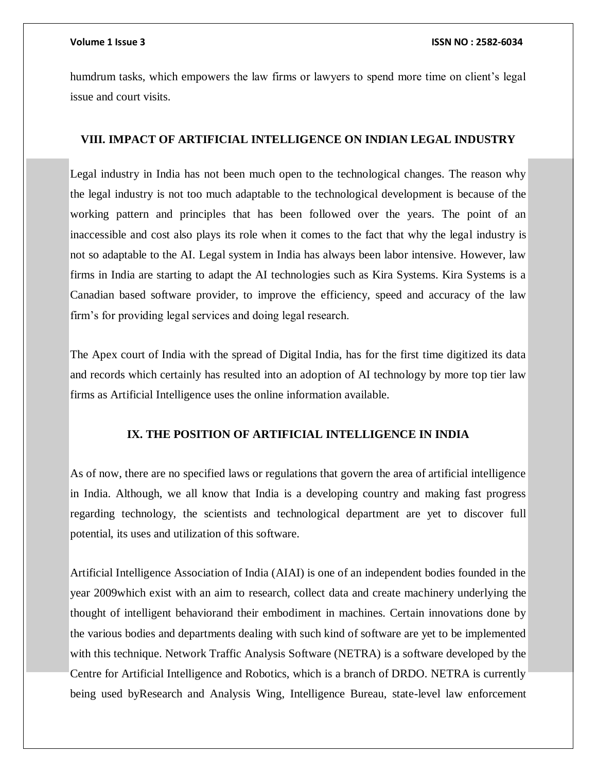humdrum tasks, which empowers the law firms or lawyers to spend more time on client's legal issue and court visits.

### **VIII. IMPACT OF ARTIFICIAL INTELLIGENCE ON INDIAN LEGAL INDUSTRY**

Legal industry in India has not been much open to the technological changes. The reason why the legal industry is not too much adaptable to the technological development is because of the working pattern and principles that has been followed over the years. The point of an inaccessible and cost also plays its role when it comes to the fact that why the legal industry is not so adaptable to the AI. Legal system in India has always been labor intensive. However, law firms in India are starting to adapt the AI technologies such as Kira Systems. Kira Systems is a Canadian based software provider, to improve the efficiency, speed and accuracy of the law firm's for providing legal services and doing legal research.

The Apex court of India with the spread of Digital India, has for the first time digitized its data and records which certainly has resulted into an adoption of AI technology by more top tier law firms as Artificial Intelligence uses the online information available.

### **IX. THE POSITION OF ARTIFICIAL INTELLIGENCE IN INDIA**

As of now, there are no specified laws or regulations that govern the area of artificial intelligence in India. Although, we all know that India is a developing country and making fast progress regarding technology, the scientists and technological department are yet to discover full potential, its uses and utilization of this software.

Artificial Intelligence Association of India (AIAI) is one of an independent bodies founded in the year 2009which exist with an aim to research, collect data and create machinery underlying the thought of intelligent behaviorand their embodiment in machines. Certain innovations done by the various bodies and departments dealing with such kind of software are yet to be implemented with this technique. Network Traffic Analysis Software (NETRA) is a software developed by the Centre for Artificial Intelligence and Robotics, which is a branch of DRDO. NETRA is currently being used byResearch and Analysis Wing, Intelligence Bureau, state-level law enforcement